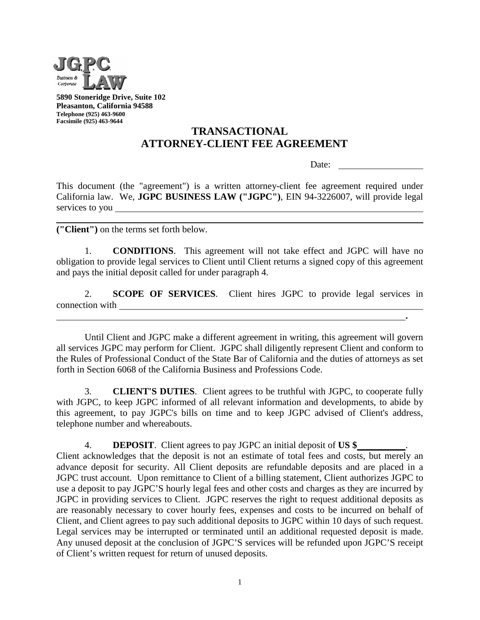

**5890 Stoneridge Drive, Suite 102 Pleasanton, California 94588 Telephone (925) 463-9600 Facsimile (925) 463-9644**

## **TRANSACTIONAL ATTORNEY-CLIENT FEE AGREEMENT**

Date:

**.** 

This document (the "agreement") is a written attorney-client fee agreement required under California law. We, **JGPC BUSINESS LAW ("JGPC")**, EIN 94-3226007, will provide legal services to you

**("Client")** on the terms set forth below.

1. **CONDITIONS**. This agreement will not take effect and JGPC will have no obligation to provide legal services to Client until Client returns a signed copy of this agreement and pays the initial deposit called for under paragraph 4.

2. **SCOPE OF SERVICES**. Client hires JGPC to provide legal services in connection with

Until Client and JGPC make a different agreement in writing, this agreement will govern all services JGPC may perform for Client. JGPC shall diligently represent Client and conform to the Rules of Professional Conduct of the State Bar of California and the duties of attorneys as set forth in Section 6068 of the California Business and Professions Code.

3. **CLIENT'S DUTIES**. Client agrees to be truthful with JGPC, to cooperate fully with JGPC, to keep JGPC informed of all relevant information and developments, to abide by this agreement, to pay JGPC's bills on time and to keep JGPC advised of Client's address, telephone number and whereabouts.

4. **DEPOSIT**. Client agrees to pay JGPC an initial deposit of **US \$** . Client acknowledges that the deposit is not an estimate of total fees and costs, but merely an advance deposit for security. All Client deposits are refundable deposits and are placed in a JGPC trust account. Upon remittance to Client of a billing statement, Client authorizes JGPC to use a deposit to pay JGPC'S hourly legal fees and other costs and charges as they are incurred by JGPC in providing services to Client. JGPC reserves the right to request additional deposits as are reasonably necessary to cover hourly fees, expenses and costs to be incurred on behalf of Client, and Client agrees to pay such additional deposits to JGPC within 10 days of such request. Legal services may be interrupted or terminated until an additional requested deposit is made. Any unused deposit at the conclusion of JGPC'S services will be refunded upon JGPC'S receipt of Client's written request for return of unused deposits.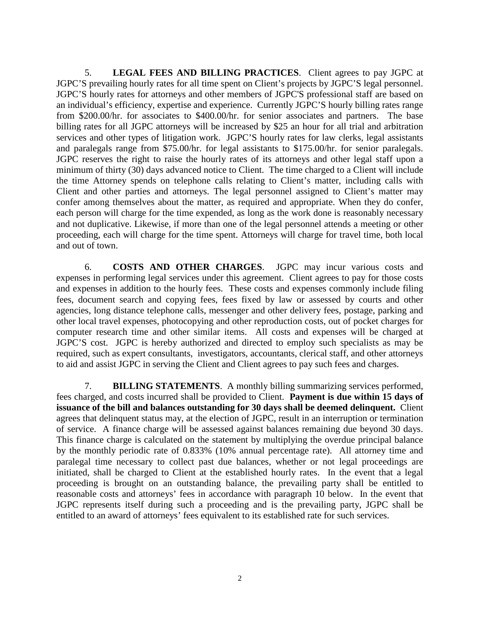5. **LEGAL FEES AND BILLING PRACTICES**. Client agrees to pay JGPC at JGPC'S prevailing hourly rates for all time spent on Client's projects by JGPC'S legal personnel. JGPC'S hourly rates for attorneys and other members of JGPC'S professional staff are based on an individual's efficiency, expertise and experience. Currently JGPC'S hourly billing rates range from \$200.00/hr. for associates to \$400.00/hr. for senior associates and partners. The base billing rates for all JGPC attorneys will be increased by \$25 an hour for all trial and arbitration services and other types of litigation work. JGPC'S hourly rates for law clerks, legal assistants and paralegals range from \$75.00/hr. for legal assistants to \$175.00/hr. for senior paralegals. JGPC reserves the right to raise the hourly rates of its attorneys and other legal staff upon a minimum of thirty (30) days advanced notice to Client. The time charged to a Client will include the time Attorney spends on telephone calls relating to Client's matter, including calls with Client and other parties and attorneys. The legal personnel assigned to Client's matter may confer among themselves about the matter, as required and appropriate. When they do confer, each person will charge for the time expended, as long as the work done is reasonably necessary and not duplicative. Likewise, if more than one of the legal personnel attends a meeting or other proceeding, each will charge for the time spent. Attorneys will charge for travel time, both local and out of town.

6. **COSTS AND OTHER CHARGES**. JGPC may incur various costs and expenses in performing legal services under this agreement. Client agrees to pay for those costs and expenses in addition to the hourly fees. These costs and expenses commonly include filing fees, document search and copying fees, fees fixed by law or assessed by courts and other agencies, long distance telephone calls, messenger and other delivery fees, postage, parking and other local travel expenses, photocopying and other reproduction costs, out of pocket charges for computer research time and other similar items. All costs and expenses will be charged at JGPC'S cost. JGPC is hereby authorized and directed to employ such specialists as may be required, such as expert consultants, investigators, accountants, clerical staff, and other attorneys to aid and assist JGPC in serving the Client and Client agrees to pay such fees and charges.

7. **BILLING STATEMENTS**. A monthly billing summarizing services performed, fees charged, and costs incurred shall be provided to Client. **Payment is due within 15 days of issuance of the bill and balances outstanding for 30 days shall be deemed delinquent.** Client agrees that delinquent status may, at the election of JGPC, result in an interruption or termination of service. A finance charge will be assessed against balances remaining due beyond 30 days. This finance charge is calculated on the statement by multiplying the overdue principal balance by the monthly periodic rate of 0.833% (10% annual percentage rate). All attorney time and paralegal time necessary to collect past due balances, whether or not legal proceedings are initiated, shall be charged to Client at the established hourly rates. In the event that a legal proceeding is brought on an outstanding balance, the prevailing party shall be entitled to reasonable costs and attorneys' fees in accordance with paragraph 10 below. In the event that JGPC represents itself during such a proceeding and is the prevailing party, JGPC shall be entitled to an award of attorneys' fees equivalent to its established rate for such services.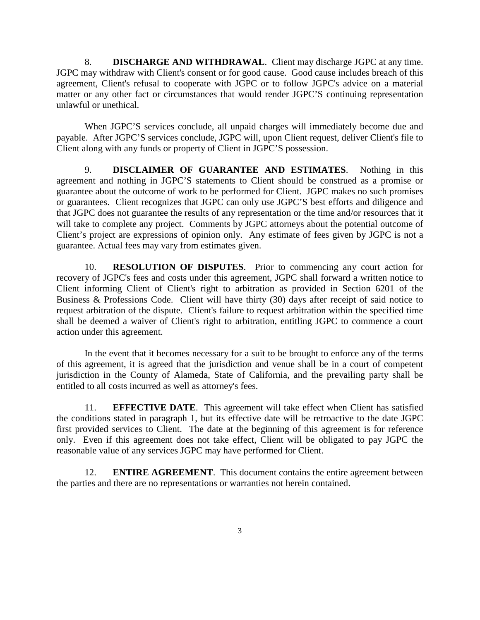8. **DISCHARGE AND WITHDRAWAL**. Client may discharge JGPC at any time. JGPC may withdraw with Client's consent or for good cause. Good cause includes breach of this agreement, Client's refusal to cooperate with JGPC or to follow JGPC's advice on a material matter or any other fact or circumstances that would render JGPC'S continuing representation unlawful or unethical.

When JGPC'S services conclude, all unpaid charges will immediately become due and payable. After JGPC'S services conclude, JGPC will, upon Client request, deliver Client's file to Client along with any funds or property of Client in JGPC'S possession.

9. **DISCLAIMER OF GUARANTEE AND ESTIMATES**. Nothing in this agreement and nothing in JGPC'S statements to Client should be construed as a promise or guarantee about the outcome of work to be performed for Client. JGPC makes no such promises or guarantees. Client recognizes that JGPC can only use JGPC'S best efforts and diligence and that JGPC does not guarantee the results of any representation or the time and/or resources that it will take to complete any project. Comments by JGPC attorneys about the potential outcome of Client's project are expressions of opinion only. Any estimate of fees given by JGPC is not a guarantee. Actual fees may vary from estimates given.

10. **RESOLUTION OF DISPUTES**. Prior to commencing any court action for recovery of JGPC's fees and costs under this agreement, JGPC shall forward a written notice to Client informing Client of Client's right to arbitration as provided in Section 6201 of the Business & Professions Code. Client will have thirty (30) days after receipt of said notice to request arbitration of the dispute. Client's failure to request arbitration within the specified time shall be deemed a waiver of Client's right to arbitration, entitling JGPC to commence a court action under this agreement.

In the event that it becomes necessary for a suit to be brought to enforce any of the terms of this agreement, it is agreed that the jurisdiction and venue shall be in a court of competent jurisdiction in the County of Alameda, State of California, and the prevailing party shall be entitled to all costs incurred as well as attorney's fees.

11. **EFFECTIVE DATE**. This agreement will take effect when Client has satisfied the conditions stated in paragraph 1, but its effective date will be retroactive to the date JGPC first provided services to Client. The date at the beginning of this agreement is for reference only. Even if this agreement does not take effect, Client will be obligated to pay JGPC the reasonable value of any services JGPC may have performed for Client.

12. **ENTIRE AGREEMENT**. This document contains the entire agreement between the parties and there are no representations or warranties not herein contained.